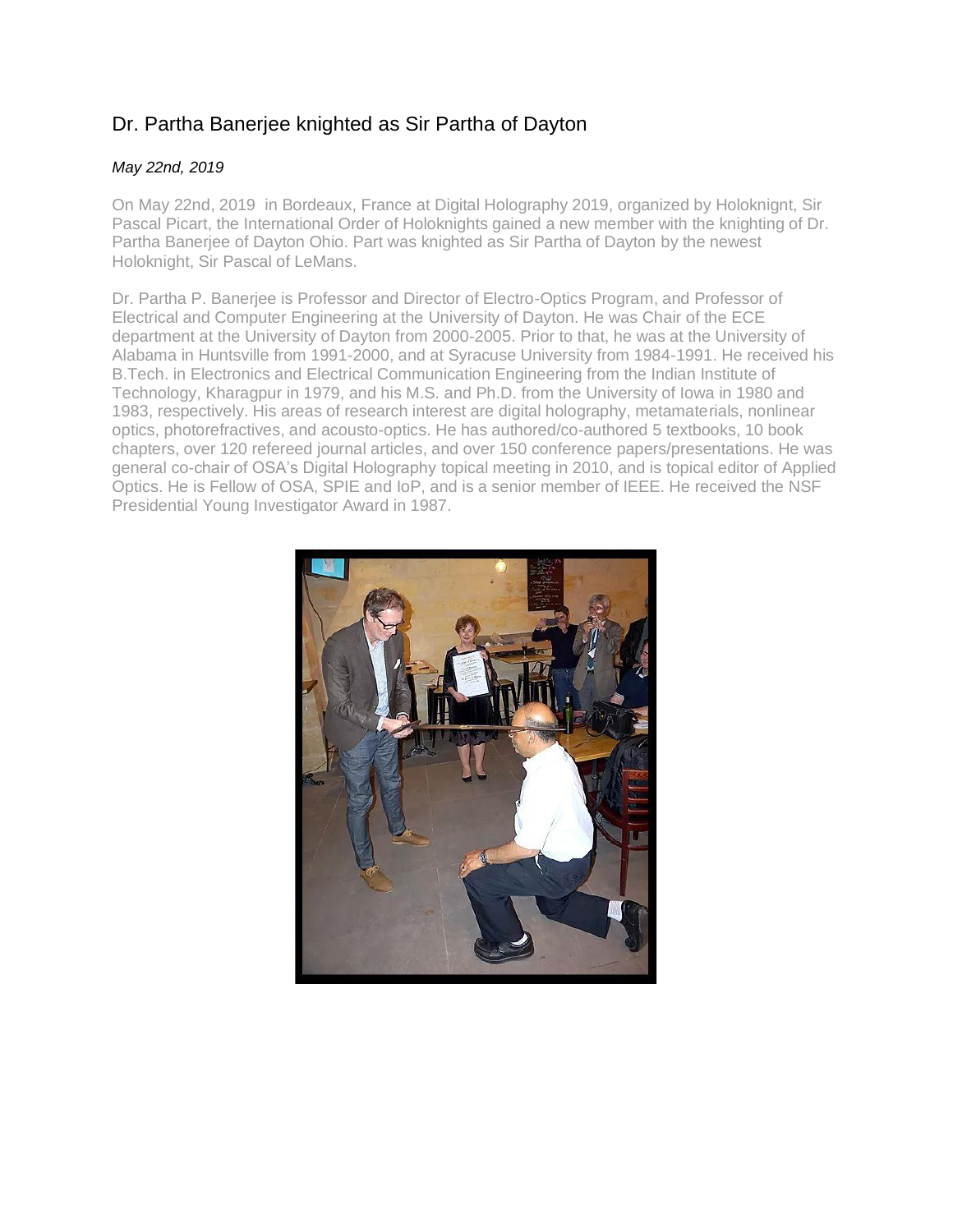## Dr. Partha Banerjee knighted as Sir Partha of Dayton

## *May 22nd, 2019*

On May 22nd, 2019 in Bordeaux, France at Digital Holography 2019, organized by Holoknignt, Sir Pascal Picart, the International Order of Holoknights gained a new member with the knighting of Dr. Partha Banerjee of Dayton Ohio. Part was knighted as Sir Partha of Dayton by the newest Holoknight, Sir Pascal of LeMans.

Dr. Partha P. Banerjee is Professor and Director of Electro-Optics Program, and Professor of Electrical and Computer Engineering at the University of Dayton. He was Chair of the ECE department at the University of Dayton from 2000-2005. Prior to that, he was at the University of Alabama in Huntsville from 1991-2000, and at Syracuse University from 1984-1991. He received his B.Tech. in Electronics and Electrical Communication Engineering from the Indian Institute of Technology, Kharagpur in 1979, and his M.S. and Ph.D. from the University of Iowa in 1980 and 1983, respectively. His areas of research interest are digital holography, metamaterials, nonlinear optics, photorefractives, and acousto-optics. He has authored/co-authored 5 textbooks, 10 book chapters, over 120 refereed journal articles, and over 150 conference papers/presentations. He was general co-chair of OSA's Digital Holography topical meeting in 2010, and is topical editor of Applied Optics. He is Fellow of OSA, SPIE and IoP, and is a senior member of IEEE. He received the NSF Presidential Young Investigator Award in 1987.